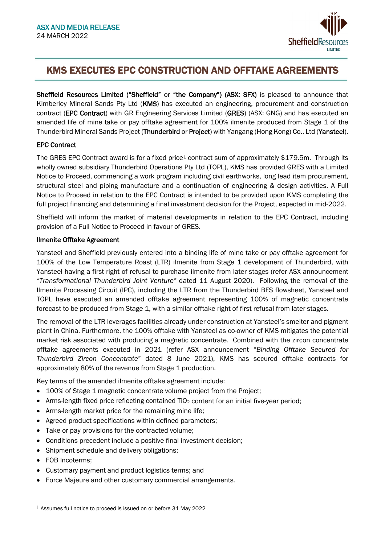

# KMS EXECUTES EPC CONSTRUCTION AND OFFTAKE AGREEMENTS

Sheffield Resources Limited ("Sheffield" or "the Company") (ASX: SFX) is pleased to announce that Kimberley Mineral Sands Pty Ltd (KMS) has executed an engineering, procurement and construction contract (EPC Contract) with GR Engineering Services Limited (GRES) (ASX: GNG) and has executed an amended life of mine take or pay offtake agreement for 100% ilmenite produced from Stage 1 of the Thunderbird Mineral Sands Project (Thunderbird or Project) with Yangang (Hong Kong) Co., Ltd (Yansteel).

# EPC Contract

The GRES EPC Contract award is for a fixed price<sup>1</sup> contract sum of approximately \$179.5m. Through its wholly owned subsidiary Thunderbird Operations Pty Ltd (TOPL), KMS has provided GRES with a Limited Notice to Proceed, commencing a work program including civil earthworks, long lead item procurement, structural steel and piping manufacture and a continuation of engineering & design activities. A Full Notice to Proceed in relation to the EPC Contract is intended to be provided upon KMS completing the full project financing and determining a final investment decision for the Project, expected in mid-2022.

Sheffield will inform the market of material developments in relation to the EPC Contract, including provision of a Full Notice to Proceed in favour of GRES.

## Ilmenite Offtake Agreement

Yansteel and Sheffield previously entered into a binding life of mine take or pay offtake agreement for 100% of the Low Temperature Roast (LTR) ilmenite from Stage 1 development of Thunderbird, with Yansteel having a first right of refusal to purchase ilmenite from later stages (refer ASX announcement *"Transformational Thunderbird Joint Venture"* dated 11 August 2020). Following the removal of the Ilmenite Processing Circuit (IPC), including the LTR from the Thunderbird BFS flowsheet, Yansteel and TOPL have executed an amended offtake agreement representing 100% of magnetic concentrate forecast to be produced from Stage 1, with a similar offtake right of first refusal from later stages.

The removal of the LTR leverages facilities already under construction at Yansteel's smelter and pigment plant in China. Furthermore, the 100% offtake with Yansteel as co-owner of KMS mitigates the potential market risk associated with producing a magnetic concentrate. Combined with the zircon concentrate offtake agreements executed in 2021 (refer ASX announcement "*Binding Offtake Secured for Thunderbird Zircon Concentrate*" dated 8 June 2021), KMS has secured offtake contracts for approximately 80% of the revenue from Stage 1 production.

Key terms of the amended ilmenite offtake agreement include:

- 100% of Stage 1 magnetic concentrate volume project from the Project;
- Arms-length fixed price reflecting contained TiO<sub>2</sub> content for an initial five-year period;
- Arms-length market price for the remaining mine life;
- Agreed product specifications within defined parameters;
- Take or pay provisions for the contracted volume;
- Conditions precedent include a positive final investment decision;
- Shipment schedule and delivery obligations;
- FOB Incoterms;
- Customary payment and product logistics terms; and
- Force Majeure and other customary commercial arrangements.

<span id="page-0-0"></span><sup>1</sup> Assumes full notice to proceed is issued on or before 31 May 2022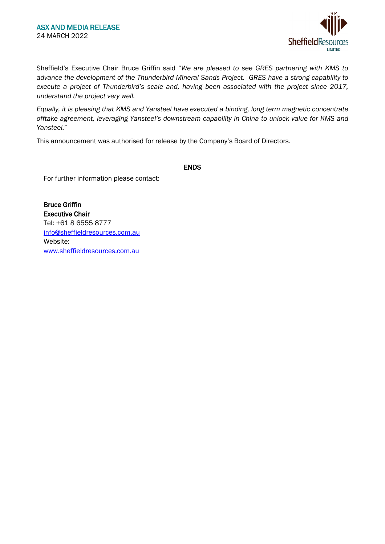

Sheffield's Executive Chair Bruce Griffin said "*We are pleased to see GRES partnering with KMS to advance the development of the Thunderbird Mineral Sands Project. GRES have a strong capability to execute a project of Thunderbird's scale and, having been associated with the project since 2017, understand the project very well.*

*Equally, it is pleasing that KMS and Yansteel have executed a binding, long term magnetic concentrate offtake agreement, leveraging Yansteel's downstream capability in China to unlock value for KMS and Yansteel.*"

This announcement was authorised for release by the Company's Board of Directors.

#### ENDS

For further information please contact:

Bruce Griffin Executive Chair Tel: +61 8 6555 8777 [info@sheffieldresources.com.au](mailto:info@sheffieldresources.com.au) Website: [www.sheffieldresources.com.au](http://www.sheffieldresources.com.au/)